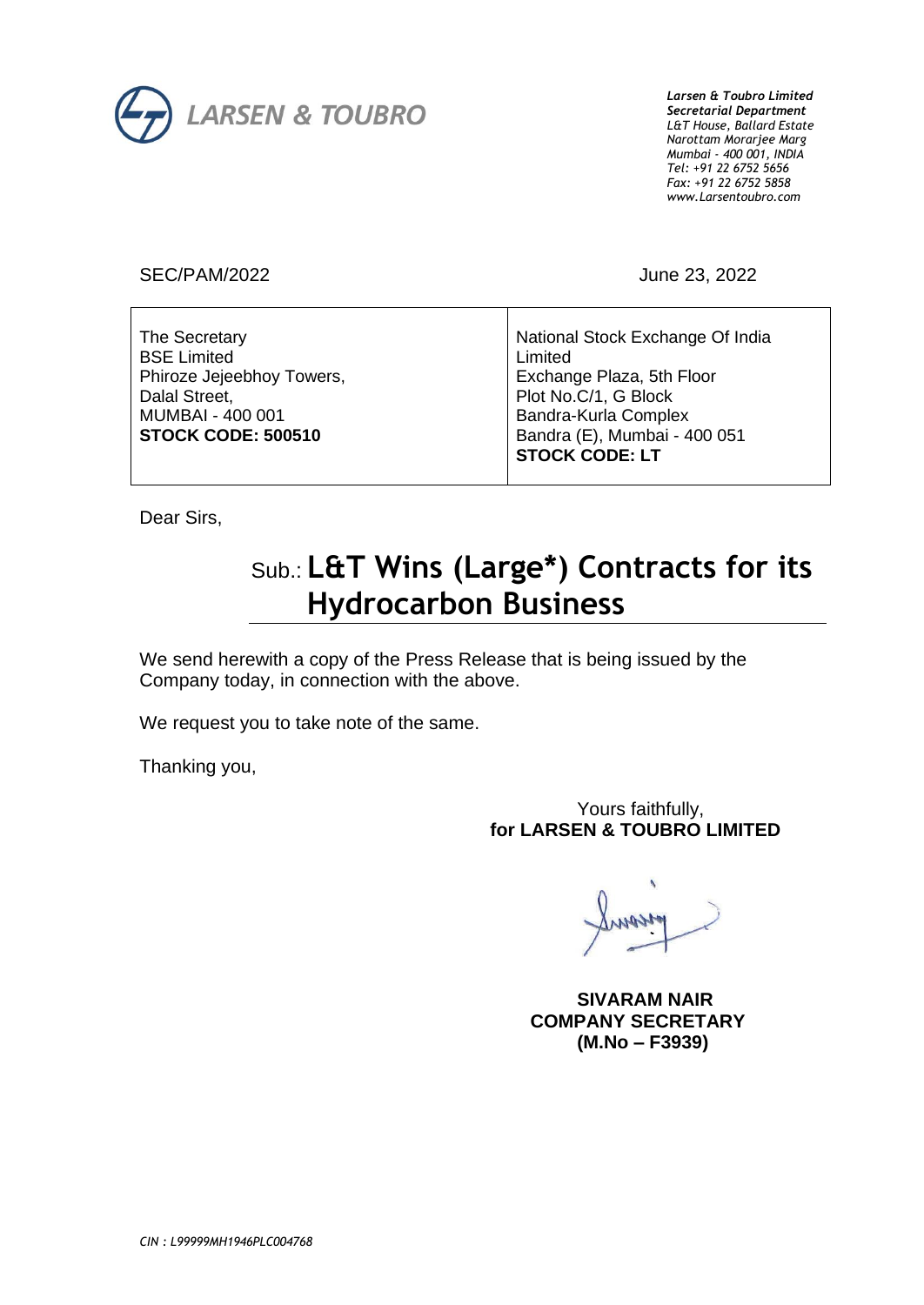

*Larsen & Toubro Limited Secretarial Department L&T House, Ballard Estate Narottam Morarjee Marg Mumbai - 400 001, INDIA Tel: +91 22 6752 5656 Fax: +91 22 6752 5858 www.Larsentoubro.com*

SEC/PAM/2022 June 23, 2022

| The Secretary<br><b>BSE Limited</b><br>Phiroze Jejeebhoy Towers,<br>Dalal Street,<br>MUMBAI - 400 001<br><b>STOCK CODE: 500510</b> | National Stock Exchange Of India<br>Limited<br>Exchange Plaza, 5th Floor<br>Plot No.C/1, G Block<br>Bandra-Kurla Complex<br>Bandra (E), Mumbai - 400 051 |
|------------------------------------------------------------------------------------------------------------------------------------|----------------------------------------------------------------------------------------------------------------------------------------------------------|
|                                                                                                                                    | <b>STOCK CODE: LT</b>                                                                                                                                    |
|                                                                                                                                    |                                                                                                                                                          |

Dear Sirs,

## Sub.: **L&T Wins (Large\*) Contracts for its Hydrocarbon Business**

We send herewith a copy of the Press Release that is being issued by the Company today, in connection with the above.

We request you to take note of the same.

Thanking you,

### Yours faithfully, **for LARSEN & TOUBRO LIMITED**

 **SIVARAM NAIR COMPANY SECRETARY (M.No – F3939)**